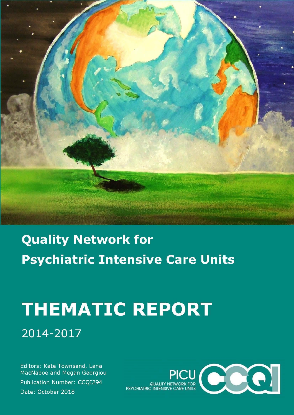**Quality Network for** Psychiatric Intensive Care Units

# **THEMATIC REPORT**

2014-2017

Editors: Kate Townsend, Lana MacNaboe and Megan Georgiou Publication Number: CCQI294 Date: October 2018

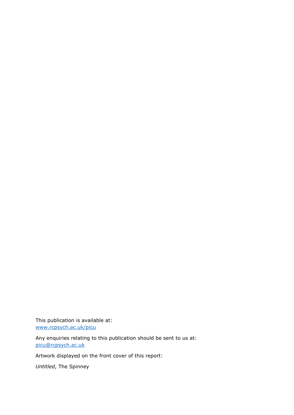This publication is available at: [www.rcpsych.ac.uk/picu](http://www.rcpsych.ac.uk/picu)

Any enquiries relating to this publication should be sent to us at: [picu@rcpsych.ac.uk](mailto:picu@rcpsych.ac.uk)

Artwork displayed on the front cover of this report:

*Untitled*, The Spinney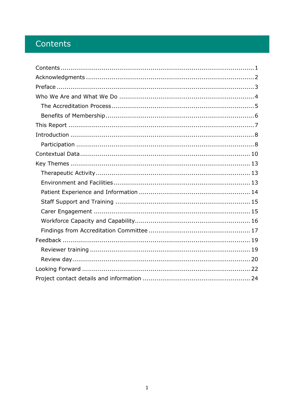### <span id="page-2-0"></span>Contents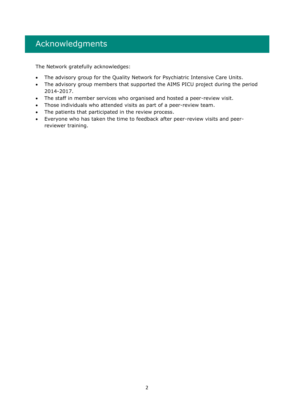### <span id="page-3-0"></span>Acknowledgments

The Network gratefully acknowledges:

- The advisory group for the Quality Network for Psychiatric Intensive Care Units.
- The advisory group members that supported the AIMS PICU project during the period 2014-2017.
- The staff in member services who organised and hosted a peer-review visit.
- Those individuals who attended visits as part of a peer-review team.
- The patients that participated in the review process.
- Everyone who has taken the time to feedback after peer-review visits and peerreviewer training.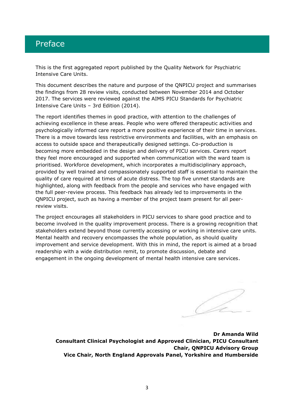### <span id="page-4-0"></span>Preface

This is the first aggregated report published by the Quality Network for Psychiatric Intensive Care Units.

This document describes the nature and purpose of the QNPICU project and summarises the findings from 28 review visits, conducted between November 2014 and October 2017. The services were reviewed against the AIMS PICU Standards for Psychiatric Intensive Care Units – 3rd Edition (2014).

The report identifies themes in good practice, with attention to the challenges of achieving excellence in these areas. People who were offered therapeutic activities and psychologically informed care report a more positive experience of their time in services. There is a move towards less restrictive environments and facilities, with an emphasis on access to outside space and therapeutically designed settings. Co-production is becoming more embedded in the design and delivery of PICU services. Carers report they feel more encouraged and supported when communication with the ward team is prioritised. Workforce development, which incorporates a multidisciplinary approach, provided by well trained and compassionately supported staff is essential to maintain the quality of care required at times of acute distress. The top five unmet standards are highlighted, along with feedback from the people and services who have engaged with the full peer-review process. This feedback has already led to improvements in the QNPICU project, such as having a member of the project team present for all peerreview visits.

The project encourages all stakeholders in PICU services to share good practice and to become involved in the quality improvement process. There is a growing recognition that stakeholders extend beyond those currently accessing or working in intensive care units. Mental health and recovery encompasses the whole population, as should quality improvement and service development. With this in mind, the report is aimed at a broad readership with a wide distribution remit, to promote discussion, debate and engagement in the ongoing development of mental health intensive care services.

**Dr Amanda Wild Consultant Clinical Psychologist and Approved Clinician, PICU Consultant Chair, QNPICU Advisory Group Vice Chair, North England Approvals Panel, Yorkshire and Humberside**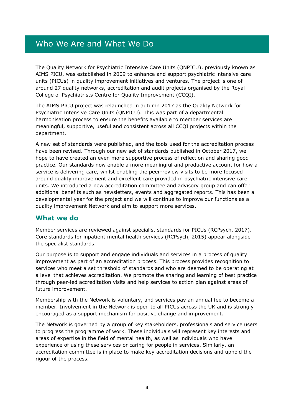### <span id="page-5-0"></span>Who We Are and What We Do

The Quality Network for Psychiatric Intensive Care Units (QNPICU), previously known as AIMS PICU, was established in 2009 to enhance and support psychiatric intensive care units (PICUs) in quality improvement initiatives and ventures. The project is one of around 27 quality networks, accreditation and audit projects organised by the Royal College of Psychiatrists Centre for Quality Improvement (CCQI).

The AIMS PICU project was relaunched in autumn 2017 as the Quality Network for Psychiatric Intensive Care Units (QNPICU). This was part of a departmental harmonisation process to ensure the benefits available to member services are meaningful, supportive, useful and consistent across all CCQI projects within the department.

A new set of standards were published, and the tools used for the accreditation process have been revised. Through our new set of standards published in October 2017, we hope to have created an even more supportive process of reflection and sharing good practice. Our standards now enable a more meaningful and productive account for how a service is delivering care, whilst enabling the peer-review visits to be more focused around quality improvement and excellent care provided in psychiatric intensive care units. We introduced a new accreditation committee and advisory group and can offer additional benefits such as newsletters, events and aggregated reports. This has been a developmental year for the project and we will continue to improve our functions as a quality improvement Network and aim to support more services.

### **What we do**

Member services are reviewed against specialist standards for PICUs (RCPsych, 2017). Core standards for inpatient mental health services (RCPsych, 2015) appear alongside the specialist standards.

Our purpose is to support and engage individuals and services in a process of quality improvement as part of an accreditation process. This process provides recognition to services who meet a set threshold of standards and who are deemed to be operating at a level that achieves accreditation. We promote the sharing and learning of best practice through peer-led accreditation visits and help services to action plan against areas of future improvement.

Membership with the Network is voluntary, and services pay an annual fee to become a member. Involvement in the Network is open to all PICUs across the UK and is strongly encouraged as a support mechanism for positive change and improvement.

The Network is governed by a group of key stakeholders, professionals and service users to progress the programme of work. These individuals will represent key interests and areas of expertise in the field of mental health, as well as individuals who have experience of using these services or caring for people in services. Similarly, an accreditation committee is in place to make key accreditation decisions and uphold the rigour of the process.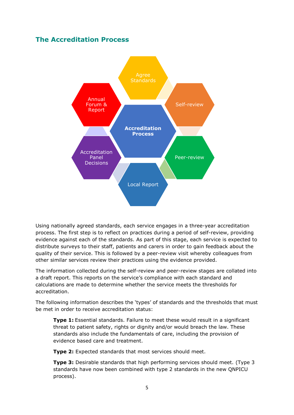### <span id="page-6-0"></span>**The Accreditation Process**



Using nationally agreed standards, each service engages in a three-year accreditation process. The first step is to reflect on practices during a period of self-review, providing evidence against each of the standards. As part of this stage, each service is expected to distribute surveys to their staff, patients and carers in order to gain feedback about the quality of their service. This is followed by a peer-review visit whereby colleagues from other similar services review their practices using the evidence provided.

The information collected during the self-review and peer-review stages are collated into a draft report. This reports on the service's compliance with each standard and calculations are made to determine whether the service meets the thresholds for accreditation.

The following information describes the 'types' of standards and the thresholds that must be met in order to receive accreditation status:

**Type 1:** Essential standards. Failure to meet these would result in a significant threat to patient safety, rights or dignity and/or would breach the law. These standards also include the fundamentals of care, including the provision of evidence based care and treatment.

**Type 2:** Expected standards that most services should meet.

**Type 3:** Desirable standards that high performing services should meet. (Type 3 standards have now been combined with type 2 standards in the new QNPICU process).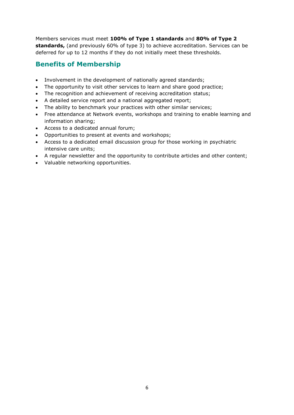Members services must meet **100% of Type 1 standards** and **80% of Type 2 standards,** (and previously 60% of type 3) to achieve accreditation. Services can be deferred for up to 12 months if they do not initially meet these thresholds.

### <span id="page-7-0"></span>**Benefits of Membership**

- Involvement in the development of nationally agreed standards;
- The opportunity to visit other services to learn and share good practice;
- The recognition and achievement of receiving accreditation status;
- A detailed service report and a national aggregated report;
- The ability to benchmark your practices with other similar services;
- Free attendance at Network events, workshops and training to enable learning and information sharing;
- Access to a dedicated annual forum;
- Opportunities to present at events and workshops;
- Access to a dedicated email discussion group for those working in psychiatric intensive care units;
- A regular newsletter and the opportunity to contribute articles and other content;
- Valuable networking opportunities.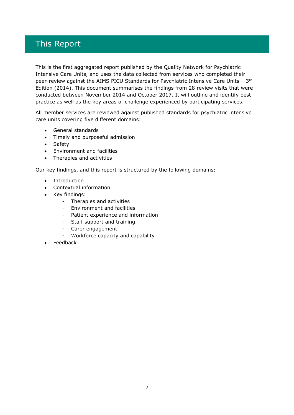### <span id="page-8-0"></span>This Report

This is the first aggregated report published by the Quality Network for Psychiatric Intensive Care Units, and uses the data collected from services who completed their peer-review against the AIMS PICU Standards for Psychiatric Intensive Care Units -  $3<sup>rd</sup>$ Edition (2014). This document summarises the findings from 28 review visits that were conducted between November 2014 and October 2017. It will outline and identify best practice as well as the key areas of challenge experienced by participating services.

All member services are reviewed against published standards for psychiatric intensive care units covering five different domains:

- General standards
- Timely and purposeful admission
- Safety
- Environment and facilities
- Therapies and activities

Our key findings, and this report is structured by the following domains:

- Introduction
- Contextual information
- Key findings:
	- Therapies and activities
	- Environment and facilities
	- Patient experience and information
	- Staff support and training
	- Carer engagement
	- Workforce capacity and capability
- Feedback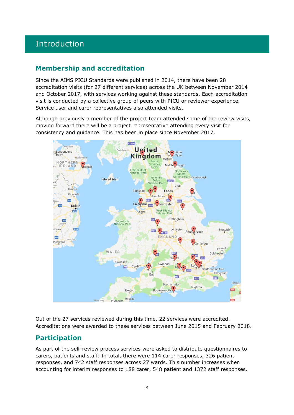### <span id="page-9-0"></span>Introduction

### **Membership and accreditation**

Since the AIMS PICU Standards were published in 2014, there have been 28 accreditation visits (for 27 different services) across the UK between November 2014 and October 2017, with services working against these standards. Each accreditation visit is conducted by a collective group of peers with PICU or reviewer experience. Service user and carer representatives also attended visits.

Although previously a member of the project team attended some of the review visits, moving forward there will be a project representative attending every visit for consistency and guidance. This has been in place since November 2017.



Out of the 27 services reviewed during this time, 22 services were accredited. Accreditations were awarded to these services between June 2015 and February 2018.

### <span id="page-9-1"></span>**Participation**

As part of the self-review process services were asked to distribute questionnaires to carers, patients and staff. In total, there were 114 carer responses, 326 patient responses, and 742 staff responses across 27 wards. This number increases when accounting for interim responses to 188 carer, 548 patient and 1372 staff responses.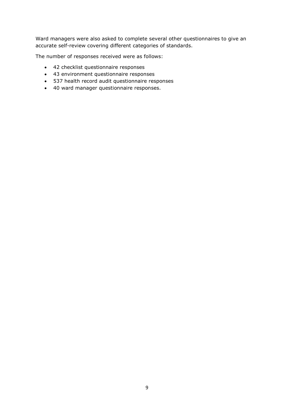Ward managers were also asked to complete several other questionnaires to give an accurate self-review covering different categories of standards.

The number of responses received were as follows:

- 42 checklist questionnaire responses
- 43 environment questionnaire responses
- 537 health record audit questionnaire responses
- 40 ward manager questionnaire responses.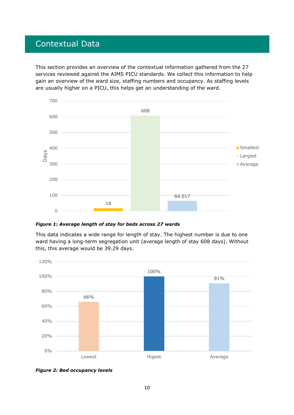### <span id="page-11-0"></span>Contextual Data

This section provides an overview of the contextual information gathered from the 27 services reviewed against the AIMS PICU standards. We collect this information to help gain an overview of the ward size, staffing numbers and occupancy. As staffing levels are usually higher on a PICU, this helps get an understanding of the ward.



*Figure 1: Average length of stay for beds across 27 wards*

This data indicates a wide range for length of stay. The highest number is due to one ward having a long-term segregation unit (average length of stay 608 days). Without this, this average would be 39.29 days.



*Figure 2: Bed occupancy levels*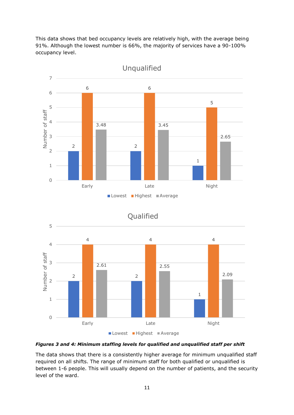This data shows that bed occupancy levels are relatively high, with the average being 91%. Although the lowest number is 66%, the majority of services have a 90-100% occupancy level.



Unqualified





#### *Figures 3 and 4: Minimum staffing levels for qualified and unqualified staff per shift*

The data shows that there is a consistently higher average for minimum unqualified staff required on all shifts. The range of minimum staff for both qualified or unqualified is between 1-6 people. This will usually depend on the number of patients, and the security level of the ward.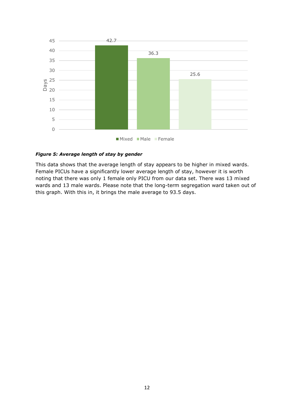

#### *Figure 5: Average length of stay by gender*

This data shows that the average length of stay appears to be higher in mixed wards. Female PICUs have a significantly lower average length of stay, however it is worth noting that there was only 1 female only PICU from our data set. There was 13 mixed wards and 13 male wards. Please note that the long-term segregation ward taken out of this graph. With this in, it brings the male average to 93.5 days.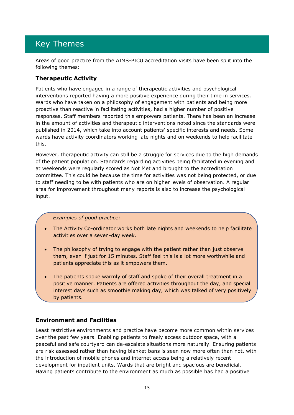### <span id="page-14-0"></span>Key Themes

Areas of good practice from the AIMS-PICU accreditation visits have been split into the following themes:

### <span id="page-14-1"></span>**Therapeutic Activity**

Patients who have engaged in a range of therapeutic activities and psychological interventions reported having a more positive experience during their time in services. Wards who have taken on a philosophy of engagement with patients and being more proactive than reactive in facilitating activities, had a higher number of positive responses. Staff members reported this empowers patients. There has been an increase in the amount of activities and therapeutic interventions noted since the standards were published in 2014, which take into account patients' specific interests and needs. Some wards have activity coordinators working late nights and on weekends to help facilitate this.

However, therapeutic activity can still be a struggle for services due to the high demands of the patient population. Standards regarding activities being facilitated in evening and at weekends were regularly scored as Not Met and brought to the accreditation committee. This could be because the time for activities was not being protected, or due to staff needing to be with patients who are on higher levels of observation. A regular area for improvement throughout many reports is also to increase the psychological input.

#### *Examples of good practice:*

- The Activity Co-ordinator works both late nights and weekends to help facilitate activities over a seven-day week.
- The philosophy of trying to engage with the patient rather than just observe them, even if just for 15 minutes. Staff feel this is a lot more worthwhile and patients appreciate this as it empowers them.
- The patients spoke warmly of staff and spoke of their overall treatment in a positive manner. Patients are offered activities throughout the day, and special interest days such as smoothie making day, which was talked of very positively by patients.

### <span id="page-14-2"></span>**Environment and Facilities**

Least restrictive environments and practice have become more common within services over the past few years. Enabling patients to freely access outdoor space, with a peaceful and safe courtyard can de-escalate situations more naturally. Ensuring patients are risk assessed rather than having blanket bans is seen now more often than not, with the introduction of mobile phones and internet access being a relatively recent development for inpatient units. Wards that are bright and spacious are beneficial. Having patients contribute to the environment as much as possible has had a positive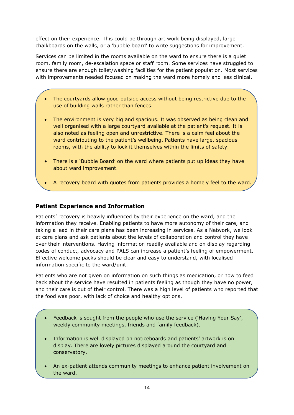effect on their experience. This could be through art work being displayed, large chalkboards on the walls, or a 'bubble board' to write suggestions for improvement.

Services can be limited in the rooms available on the ward to ensure there is a quiet room, family room, de-escalation space or staff room. Some services have struggled to ensure there are enough toilet/washing facilities for the patient population. Most services with improvements needed focused on making the ward more homely and less clinical.

- The courtyards allow good outside access without being restrictive due to the use of building walls rather than fences.
- The environment is very big and spacious. It was observed as being clean and well organised with a large courtyard available at the patient's request. It is also noted as feeling open and unrestrictive. There is a calm feel about the ward contributing to the patient's wellbeing. Patients have large, spacious rooms, with the ability to lock it themselves within the limits of safety.
- There is a 'Bubble Board' on the ward where patients put up ideas they have about ward improvement.
- A recovery board with quotes from patients provides a homely feel to the ward.

### <span id="page-15-0"></span>**Patient Experience and Information**

Patients' recovery is heavily influenced by their experience on the ward, and the information they receive. Enabling patients to have more autonomy of their care, and taking a lead in their care plans has been increasing in services. As a Network, we look at care plans and ask patients about the levels of collaboration and control they have over their interventions. Having information readily available and on display regarding codes of conduct, advocacy and PALS can increase a patient's feeling of empowerment. Effective welcome packs should be clear and easy to understand, with localised information specific to the ward/unit.

Patients who are not given on information on such things as medication, or how to feed back about the service have resulted in patients feeling as though they have no power, and their care is out of their control. There was a high level of patients who reported that the food was poor, with lack of choice and healthy options.

- Feedback is sought from the people who use the service ('Having Your Say', weekly community meetings, friends and family feedback).
- Information is well displayed on noticeboards and patients' artwork is on display. There are lovely pictures displayed around the courtyard and conservatory.
- An ex-patient attends community meetings to enhance patient involvement on the ward.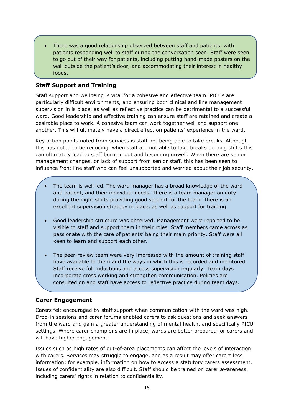• There was a good relationship observed between staff and patients, with patients responding well to staff during the conversation seen. Staff were seen to go out of their way for patients, including putting hand-made posters on the wall outside the patient's door, and accommodating their interest in healthy foods.

### <span id="page-16-0"></span>**Staff Support and Training**

Staff support and wellbeing is vital for a cohesive and effective team. PICUs are particularly difficult environments, and ensuring both clinical and line management supervision in is place, as well as reflective practice can be detrimental to a successful ward. Good leadership and effective training can ensure staff are retained and create a desirable place to work. A cohesive team can work together well and support one another. This will ultimately have a direct effect on patients' experience in the ward.

Key action points noted from services is staff not being able to take breaks. Although this has noted to be reducing, when staff are not able to take breaks on long shifts this can ultimately lead to staff burning out and becoming unwell. When there are senior management changes, or lack of support from senior staff, this has been seen to influence front line staff who can feel unsupported and worried about their job security.

- The team is well led. The ward manager has a broad knowledge of the ward and patient, and their individual needs. There is a team manager on duty during the night shifts providing good support for the team. There is an excellent supervision strategy in place, as well as support for training.
- Good leadership structure was observed. Management were reported to be visible to staff and support them in their roles. Staff members came across as passionate with the care of patients' being their main priority. Staff were all keen to learn and support each other.
- The peer-review team were very impressed with the amount of training staff have available to them and the ways in which this is recorded and monitored. Staff receive full inductions and access supervision regularly. Team days incorporate cross working and strengthen communication. Policies are consulted on and staff have access to reflective practice during team days.

### <span id="page-16-1"></span>**Carer Engagement**

Carers felt encouraged by staff support when communication with the ward was high. Drop-in sessions and carer forums enabled carers to ask questions and seek answers from the ward and gain a greater understanding of mental health, and specifically PICU settings. Where carer champions are in place, wards are better prepared for carers and will have higher engagement.

Issues such as high rates of out-of-area placements can affect the levels of interaction with carers. Services may struggle to engage, and as a result may offer carers less information; for example, information on how to access a statutory carers assessment. Issues of confidentiality are also difficult. Staff should be trained on carer awareness, including carers' rights in relation to confidentiality.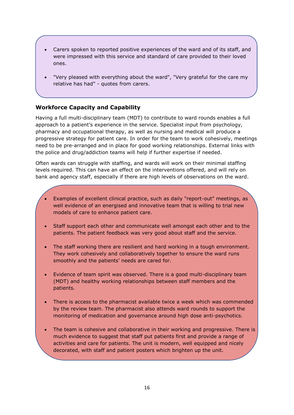- Carers spoken to reported positive experiences of the ward and of its staff, and were impressed with this service and standard of care provided to their loved ones.
- "Very pleased with everything about the ward", "Very grateful for the care my relative has had" - quotes from carers.

### <span id="page-17-0"></span>**Workforce Capacity and Capability**

Having a full multi-disciplinary team (MDT) to contribute to ward rounds enables a full approach to a patient's experience in the service. Specialist input from psychology, pharmacy and occupational therapy, as well as nursing and medical will produce a progressive strategy for patient care. In order for the team to work cohesively, meetings need to be pre-arranged and in place for good working relationships. External links with the police and drug/addiction teams will help if further expertise if needed.

Often wards can struggle with staffing, and wards will work on their minimal staffing levels required. This can have an effect on the interventions offered, and will rely on bank and agency staff, especially if there are high levels of observations on the ward.

- Examples of excellent clinical practice, such as daily "report-out" meetings, as well evidence of an energised and innovative team that is willing to trial new models of care to enhance patient care.
- Staff support each other and communicate well amongst each other and to the patients. The patient feedback was very good about staff and the service.
- The staff working there are resilient and hard working in a tough environment. They work cohesively and collaboratively together to ensure the ward runs smoothly and the patients' needs are cared for.
- Evidence of team spirit was observed. There is a good multi-disciplinary team (MDT) and healthy working relationships between staff members and the patients.
- There is access to the pharmacist available twice a week which was commended by the review team. The pharmacist also attends ward rounds to support the monitoring of medication and governance around high dose anti-psychotics.
- The team is cohesive and collaborative in their working and progressive. There is much evidence to suggest that staff put patients first and provide a range of activities and care for patients. The unit is modern, well equipped and nicely decorated, with staff and patient posters which brighten up the unit.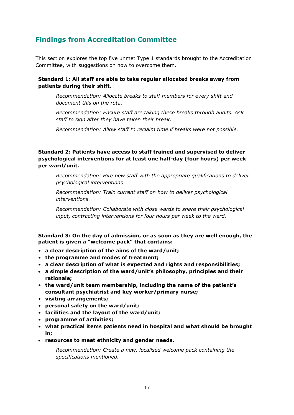### <span id="page-18-0"></span>**Findings from Accreditation Committee**

This section explores the top five unmet Type 1 standards brought to the Accreditation Committee, with suggestions on how to overcome them.

### **Standard 1: All staff are able to take regular allocated breaks away from patients during their shift.**

*Recommendation: Allocate breaks to staff members for every shift and document this on the rota.* 

*Recommendation: Ensure staff are taking these breaks through audits. Ask staff to sign after they have taken their break.*

*Recommendation: Allow staff to reclaim time if breaks were not possible.*

### **Standard 2: Patients have access to staff trained and supervised to deliver psychological interventions for at least one half-day (four hours) per week per ward/unit.**

*Recommendation: Hire new staff with the appropriate qualifications to deliver psychological interventions*

*Recommendation: Train current staff on how to deliver psychological interventions.* 

*Recommendation: Collaborate with close wards to share their psychological input, contracting interventions for four hours per week to the ward.*

#### **Standard 3: On the day of admission, or as soon as they are well enough, the patient is given a "welcome pack" that contains:**

- **a clear description of the aims of the ward/unit;**
- **the programme and modes of treatment;**
- **a clear description of what is expected and rights and responsibilities;**
- **a simple description of the ward/unit's philosophy, principles and their rationale;**
- **the ward/unit team membership, including the name of the patient's consultant psychiatrist and key worker/primary nurse;**
- **visiting arrangements;**
- **personal safety on the ward/unit;**
- **facilities and the layout of the ward/unit;**
- **programme of activities;**
- **what practical items patients need in hospital and what should be brought in;**
- **resources to meet ethnicity and gender needs.**

*Recommendation: Create a new, localised welcome pack containing the specifications mentioned.*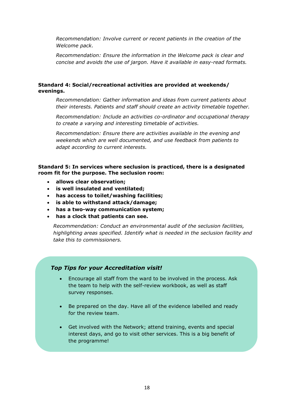*Recommendation: Involve current or recent patients in the creation of the Welcome pack.* 

*Recommendation: Ensure the information in the Welcome pack is clear and concise and avoids the use of jargon. Have it available in easy-read formats.*

#### **Standard 4: Social/recreational activities are provided at weekends/ evenings.**

*Recommendation: Gather information and ideas from current patients about their interests. Patients and staff should create an activity timetable together.*

*Recommendation: Include an activities co-ordinator and occupational therapy to create a varying and interesting timetable of activities.*

*Recommendation: Ensure there are activities available in the evening and weekends which are well documented, and use feedback from patients to adapt according to current interests.*

**Standard 5: In services where seclusion is practiced, there is a designated room fit for the purpose. The seclusion room:**

- **allows clear observation;**
- **is well insulated and ventilated;**
- **has access to toilet/washing facilities;**
- **is able to withstand attack/damage;**
- **has a two-way communication system;**
- **has a clock that patients can see.**

*Recommendation: Conduct an environmental audit of the seclusion facilities, highlighting areas specified. Identify what is needed in the seclusion facility and take this to commissioners.* 

#### *Top Tips for your Accreditation visit!*

- Encourage all staff from the ward to be involved in the process. Ask the team to help with the self-review workbook, as well as staff survey responses.
- Be prepared on the day. Have all of the evidence labelled and ready for the review team.
- Get involved with the Network; attend training, events and special interest days, and go to visit other services. This is a big benefit of the programme!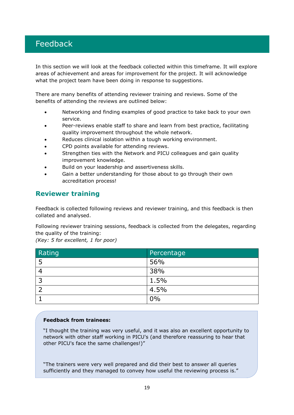### <span id="page-20-0"></span>Feedback

In this section we will look at the feedback collected within this timeframe. It will explore areas of achievement and areas for improvement for the project. It will acknowledge what the project team have been doing in response to suggestions.

There are many benefits of attending reviewer training and reviews. Some of the benefits of attending the reviews are outlined below:

- Networking and finding examples of good practice to take back to your own service.
- Peer-reviews enable staff to share and learn from best practice, facilitating quality improvement throughout the whole network.
- Reduces clinical isolation within a tough working environment.
- CPD points available for attending reviews.
- Strengthen ties with the Network and PICU colleagues and gain quality improvement knowledge.
- Build on your leadership and assertiveness skills.
- Gain a better understanding for those about to go through their own accreditation process!

### <span id="page-20-1"></span>**Reviewer training**

Feedback is collected following reviews and reviewer training, and this feedback is then collated and analysed.

Following reviewer training sessions, feedback is collected from the delegates, regarding the quality of the training:

*(Key: 5 for excellent, 1 for poor)*

| Rating | Percentage |
|--------|------------|
| 5      | 56%        |
| 4      | 38%        |
| ີ      | 1.5%       |
|        | 4.5%       |
|        | $0\%$      |

#### **Feedback from trainees:**

"I thought the training was very useful, and it was also an excellent opportunity to network with other staff working in PICU's (and therefore reassuring to hear that other PICU's face the same challenges!)"

"The trainers were very well prepared and did their best to answer all queries sufficiently and they managed to convey how useful the reviewing process is."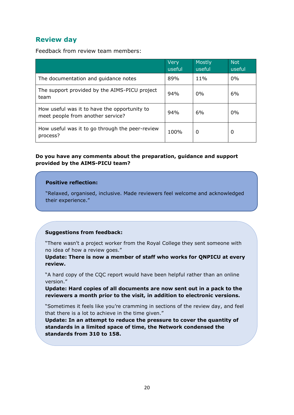### <span id="page-21-0"></span>**Review day**

Feedback from review team members:

|                                                                                   | Very<br>useful | <b>Mostly</b><br>useful | <b>Not</b><br>useful |
|-----------------------------------------------------------------------------------|----------------|-------------------------|----------------------|
| The documentation and guidance notes                                              | 89%            | $11\%$                  | $0\%$                |
| The support provided by the AIMS-PICU project<br>team                             | 94%            | $0\%$                   | 6%                   |
| How useful was it to have the opportunity to<br>meet people from another service? | 94%            | 6%                      | $0\%$                |
| How useful was it to go through the peer-review<br>process?                       | 100%           | 0                       | 0                    |

### **Do you have any comments about the preparation, guidance and support provided by the AIMS-PICU team?**

#### **Positive reflection:**

"Relaxed, organised, inclusive. Made reviewers feel welcome and acknowledged their experience."

### **Suggestions from feedback:**

"There wasn't a project worker from the Royal College they sent someone with no idea of how a review goes."

**Update: There is now a member of staff who works for QNPICU at every review.**

"A hard copy of the CQC report would have been helpful rather than an online version."

**Update: Hard copies of all documents are now sent out in a pack to the reviewers a month prior to the visit, in addition to electronic versions.**

"Sometimes it feels like you're cramming in sections of the review day, and feel that there is a lot to achieve in the time given."

**Update: In an attempt to reduce the pressure to cover the quantity of standards in a limited space of time, the Network condensed the standards from 310 to 158.**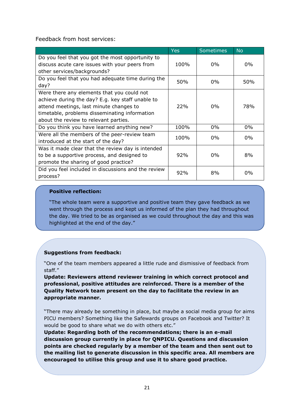Feedback from host services:

|                                                                                                                                                                                                                                     | Yes        | <b>Sometimes</b> | <b>No</b> |
|-------------------------------------------------------------------------------------------------------------------------------------------------------------------------------------------------------------------------------------|------------|------------------|-----------|
| Do you feel that you got the most opportunity to<br>discuss acute care issues with your peers from                                                                                                                                  | 100%       | 0%               | $0\%$     |
| other services/backgrounds?                                                                                                                                                                                                         |            |                  |           |
| Do you feel that you had adequate time during the<br>day?                                                                                                                                                                           | 50%        | $0\%$            | 50%       |
| Were there any elements that you could not<br>achieve during the day? E.g. key staff unable to<br>attend meetings, last minute changes to<br>timetable, problems disseminating information<br>about the review to relevant parties. | <b>22%</b> | $0\%$            | 78%       |
| Do you think you have learned anything new?                                                                                                                                                                                         | 100%       | 0%               | 0%        |
| Were all the members of the peer-review team<br>introduced at the start of the day?                                                                                                                                                 | 100%       | 0%               | 0%        |
| Was it made clear that the review day is intended<br>to be a supportive process, and designed to<br>promote the sharing of good practice?                                                                                           | 92%        | 0%               | 8%        |
| Did you feel included in discussions and the review<br>process?                                                                                                                                                                     | 92%        | 8%               | $0\%$     |

### **Positive reflection:**

"The whole team were a supportive and positive team they gave feedback as we went through the process and kept us informed of the plan they had throughout the day. We tried to be as organised as we could throughout the day and this was highlighted at the end of the day."

### **Suggestions from feedback:**

"One of the team members appeared a little rude and dismissive of feedback from staff."

**Update: Reviewers attend reviewer training in which correct protocol and professional, positive attitudes are reinforced. There is a member of the Quality Network team present on the day to facilitate the review in an appropriate manner.**

"There may already be something in place, but maybe a social media group for aims PICU members? Something like the Safewards groups on Facebook and Twitter? It would be good to share what we do with others etc."

**Update: Regarding both of the recommendations; there is an e-mail discussion group currently in place for QNPICU. Questions and discussion points are checked regularly by a member of the team and then sent out to the mailing list to generate discussion in this specific area. All members are encouraged to utilise this group and use it to share good practice.**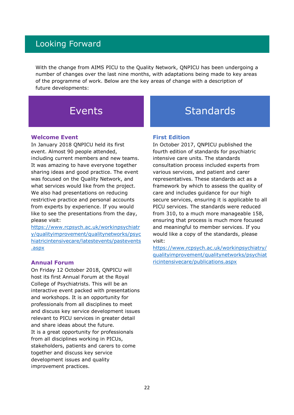### <span id="page-23-0"></span>Looking Forward

With the change from AIMS PICU to the Quality Network, QNPICU has been undergoing a number of changes over the last nine months, with adaptations being made to key areas of the programme of work. Below are the key areas of change with a description of future developments:

#### **Welcome Event**

In January 2018 QNPICU held its first event. Almost 90 people attended, including current members and new teams. It was amazing to have everyone together sharing ideas and good practice. The event was focused on the Quality Network, and what services would like from the project. We also had presentations on reducing restrictive practice and personal accounts from experts by experience. If you would like to see the presentations from the day, please visit:

[https://www.rcpsych.ac.uk/workinpsychiatr](https://www.rcpsych.ac.uk/workinpsychiatry/qualityimprovement/qualitynetworks/psychiatricintensivecare/latestevents/pastevents.aspx) [y/qualityimprovement/qualitynetworks/psyc](https://www.rcpsych.ac.uk/workinpsychiatry/qualityimprovement/qualitynetworks/psychiatricintensivecare/latestevents/pastevents.aspx) [hiatricintensivecare/latestevents/pastevents](https://www.rcpsych.ac.uk/workinpsychiatry/qualityimprovement/qualitynetworks/psychiatricintensivecare/latestevents/pastevents.aspx) [.aspx](https://www.rcpsych.ac.uk/workinpsychiatry/qualityimprovement/qualitynetworks/psychiatricintensivecare/latestevents/pastevents.aspx)

#### **Annual Forum**

On Friday 12 October 2018, QNPICU will host its first Annual Forum at the Royal College of Psychiatrists. This will be an interactive event packed with presentations and workshops. It is an opportunity for professionals from all disciplines to meet and discuss key service development issues relevant to PICU services in greater detail and share ideas about the future. It is a great opportunity for professionals from all disciplines working in PICUs, stakeholders, patients and carers to come together and discuss key service development issues and quality improvement practices.

## Events Standards

#### **First Edition**

In October 2017, QNPICU published the fourth edition of standards for psychiatric intensive care units. The standards consultation process included experts from various services, and patient and carer representatives. These standards act as a framework by which to assess the quality of care and includes guidance for our high secure services, ensuring it is applicable to all PICU services. The standards were reduced from 310, to a much more manageable 158, ensuring that process is much more focused and meaningful to member services. If you would like a copy of the standards, please visit:

[https://www.rcpsych.ac.uk/workinpsychiatry/](https://www.rcpsych.ac.uk/workinpsychiatry/qualityimprovement/qualitynetworks/psychiatricintensivecare/publications.aspx) [qualityimprovement/qualitynetworks/psychiat](https://www.rcpsych.ac.uk/workinpsychiatry/qualityimprovement/qualitynetworks/psychiatricintensivecare/publications.aspx) [ricintensivecare/publications.aspx](https://www.rcpsych.ac.uk/workinpsychiatry/qualityimprovement/qualitynetworks/psychiatricintensivecare/publications.aspx)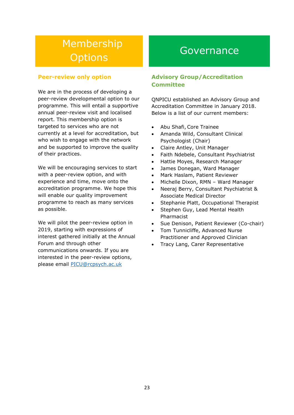# **Membership** Options Governance

### **Peer-review only option**

We are in the process of developing a peer-review developmental option to our programme. This will entail a supportive annual peer-review visit and localised report. This membership option is targeted to services who are not currently at a level for accreditation, but who wish to engage with the network and be supported to improve the quality of their practices.

We will be encouraging services to start with a peer-review option, and with experience and time, move onto the accreditation programme. We hope this will enable our quality improvement programme to reach as many services as possible.

We will pilot the peer-review option in 2019, starting with expressions of interest gathered initially at the Annual Forum and through other communications onwards. If you are interested in the peer-review options, please email [PICU@rcpsych.ac.uk](mailto:PICU@rcpsych.ac.uk)

### **Advisory Group/Accreditation Committee**

QNPICU established an Advisory Group and Accreditation Committee in January 2018. Below is a list of our current members:

- Abu Shafi, Core Trainee
- Amanda Wild, Consultant Clinical Psychologist (Chair)
- Claire Antley, Unit Manager
- Faith Ndebele, Consultant Psychiatrist
- Hattie Moyes, Research Manager
- James Donegan, Ward Manager
- Mark Haslam, Patient Reviewer
- Michelle Dixon, RMN Ward Manager
- Neeraj Berry, Consultant Psychiatrist & Associate Medical Director
- Stephanie Platt, Occupational Therapist
- Stephen Guy, Lead Mental Health Pharmacist
- Sue Denison, Patient Reviewer (Co-chair)
- Tom Tunnicliffe, Advanced Nurse Practitioner and Approved Clinician
- Tracy Lang, Carer Representative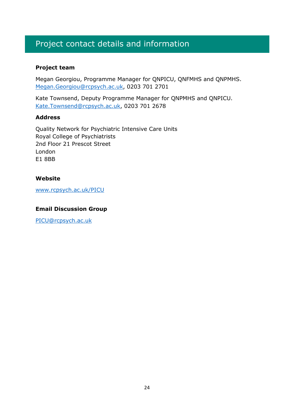### <span id="page-25-0"></span>Project contact details and information

### **Project team**

Megan Georgiou, Programme Manager for QNPICU, QNFMHS and QNPMHS. [Megan.Georgiou@rcpsych.ac.uk,](mailto:Megan.Georgiou@rcpsych.ac.uk) 0203 701 2701

Kate Townsend, Deputy Programme Manager for QNPMHS and QNPICU. [Kate.Townsend@rcpsych.ac.uk,](mailto:Kate.Townsend@rcpsych.ac.uk) 0203 701 2678

### **Address**

Quality Network for Psychiatric Intensive Care Units Royal College of Psychiatrists 2nd Floor 21 Prescot Street London E1 8BB

### **Website**

[www.rcpsych.ac.uk/PICU](http://www.rcpsych.ac.uk/PICU)

### **Email Discussion Group**

[PICU@rcpsych.ac.uk](mailto:PICU@rcpsych.ac.uk)